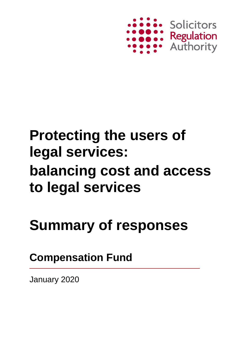

## **Protecting the users of legal services: balancing cost and access to legal services**

# **Summary of responses**

**Compensation Fund**

January 2020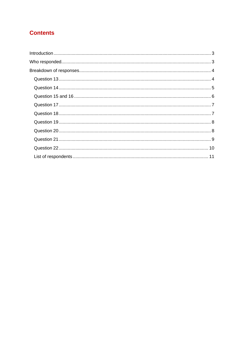### **Contents**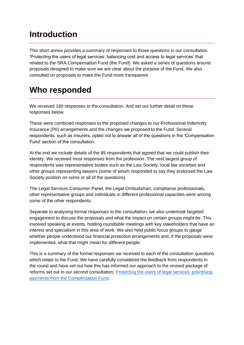## <span id="page-2-0"></span>**Introduction**

This short annex provides a summary of responses to those questions in our consultation 'Protecting the users of legal services: balancing cost and access to legal services' that related to the SRA Compensation Fund (the Fund). We asked a series of questions around proposals designed to make sure we are clear about the purpose of the Fund. We also consulted on proposals to make the Fund more transparent.

### <span id="page-2-1"></span>**Who responded**

We received 160 responses to the consultation. And set out further detail on these responses below.

These were combined responses to the proposed changes to our Professional Indemnity Insurance (PII) arrangements and the changes we proposed to the Fund. Several respondents, such as insurers, opted not to answer all of the questions in the 'Compensation Fund' section of the consultation.

At the end we include details of the 85 respondents that agreed that we could publish their identity. We received most responses from the profession. The next largest group of respondents was representative bodies such as the Law Society, local law societies and other groups representing lawyers (some of whom responded to say they endorsed the Law Society position on some or all of the questions).

The Legal Services Consumer Panel, the Legal Ombudsman, compliance professionals, other representative groups and individuals in different professional capacities were among some of the other respondents.

Separate to analysing formal responses to the consultation, we also undertook targeted engagement to discuss the proposals and what the impact on certain groups might be. This involved speaking at events, holding roundtable meetings with key stakeholders that have an interest and specialism in this area of work. We also held public focus groups to gauge whether people understood our financial protection arrangements and, if the proposals were implemented, what that might mean for different people.

This is a summary of the formal responses we received to each of the consultation questions which relate to the Fund. We have carefully considered the feedback from respondents in the round and have set out how this has informed our approach to the revised package of reforms set out in our second consultation, [Protecting the users of legal services: prioritising](https://www.sra.org.uk/sra/consultations/consultation-listing/access-legal-services/?s=c)  [payments from the Compensation Fund.](https://www.sra.org.uk/sra/consultations/consultation-listing/access-legal-services/?s=c)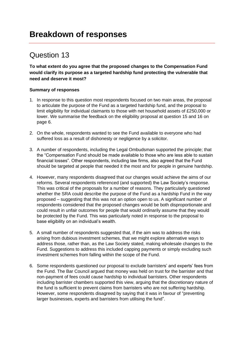<span id="page-3-1"></span><span id="page-3-0"></span>**To what extent do you agree that the proposed changes to the Compensation Fund would clarify its purpose as a targeted hardship fund protecting the vulnerable that need and deserve it most?**

#### **Summary of responses**

- 1. In response to this question most respondents focused on two main areas, the proposal to articulate the purpose of the Fund as a targeted hardship fund, and the proposal to limit eligibility for individual claimants to those with net household assets of £250,000 or lower. We summarise the feedback on the eligibility proposal at question 15 and 16 on page 6.
- 2. On the whole, respondents wanted to see the Fund available to everyone who had suffered loss as a result of dishonesty or negligence by a solicitor.
- 3. A number of respondents, including the Legal Ombudsman supported the principle; that the "Compensation Fund should be made available to those who are less able to sustain financial losses". Other respondents, including law firms, also agreed that the Fund should be targeted at people that needed it the most and for people in genuine hardship.
- 4. However, many respondents disagreed that our changes would achieve the aims of our reforms. Several respondents referenced (and supported) the Law Society's response. This was critical of the proposals for a number of reasons. They particularly questioned whether the SRA could describe the purpose of the Fund as a hardship Fund in the way proposed – suggesting that this was not an option open to us. A significant number of respondents considered that the proposed changes would be both disproportionate and could result in unfair outcomes for people that would ordinarily assume that they would be protected by the Fund. This was particularly noted in response to the proposal to base eligibility on an individual's wealth.
- 5. A small number of respondents suggested that, if the aim was to address the risks arising from dubious investment schemes, that we might explore alternative ways to address those, rather than, as the Law Society stated, making wholesale changes to the Fund. Suggestions to address this included capping payments or simply excluding such investment schemes from falling within the scope of the Fund.
- 6. Some respondents questioned our proposal to exclude barristers' and experts' fees from the Fund. The Bar Council argued that money was held on trust for the barrister and that non-payment of fees could cause hardship to individual barristers. Other respondents including barrister chambers supported this view, arguing that the discretionary nature of the fund is sufficient to prevent claims from barristers who are not suffering hardship. However, some respondents disagreed by saying that it was in favour of "preventing larger businesses, experts and barristers from utilising the fund".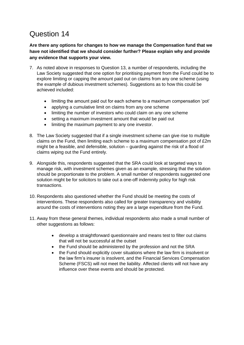<span id="page-4-0"></span>**Are there any options for changes to how we manage the Compensation fund that we have not identified that we should consider further? Please explain why and provide any evidence that supports your view.**

- 7. As noted above in responses to Question 13, a number of respondents, including the Law Society suggested that one option for prioritising payment from the Fund could be to explore limiting or capping the amount paid out on claims from any one scheme (using the example of dubious investment schemes). Suggestions as to how this could be achieved included:
	- limiting the amount paid out for each scheme to a maximum compensation 'pot'
	- applying a cumulative limit on claims from any one scheme
	- limiting the number of investors who could claim on any one scheme
	- setting a maximum investment amount that would be paid out
	- limiting the maximum payment to any one investor.
- 8. The Law Society suggested that if a single investment scheme can give rise to multiple claims on the Fund, then limiting each scheme to a maximum compensation pot of £2m might be a feasible, and defensible, solution – guarding against the risk of a flood of claims wiping out the Fund entirely.
- 9. Alongside this, respondents suggested that the SRA could look at targeted ways to manage risk, with investment schemes given as an example, stressing that the solution should be proportionate to the problem. A small number of respondents suggested one solution might be for solicitors to take out a one-off indemnity policy for high risk transactions.
- 10. Respondents also questioned whether the Fund should be meeting the costs of interventions. These respondents also called for greater transparency and visibility around the costs of interventions noting they are a large expenditure from the Fund.
- 11. Away from these general themes, individual respondents also made a small number of other suggestions as follows:
	- develop a straightforward questionnaire and means test to filter out claims that will not be successful at the outset
	- the Fund should be administered by the profession and not the SRA
	- the Fund should explicitly cover situations where the law firm is insolvent or the law firm's insurer is insolvent, and the Financial Services Compensation Scheme (FSCS) will not meet the liability. Affected clients will not have any influence over these events and should be protected.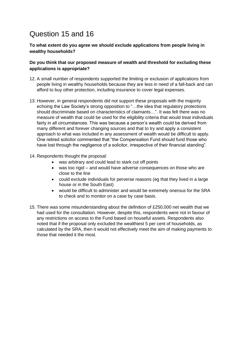### <span id="page-5-0"></span>Question 15 and 16

**To what extent do you agree we should exclude applications from people living in wealthy households?**

#### **Do you think that our proposed measure of wealth and threshold for excluding these applications is appropriate?**

- 12. A small number of respondents supported the limiting or exclusion of applications from people living in wealthy households because they are less in need of a fall-back and can afford to buy other protection, including insurance to cover legal expenses.
- 13. However, in general respondents did not support these proposals with the majority echoing the Law Society's strong opposition to "…the idea that regulatory protections should discriminate based on characteristics of claimants…". It was felt there was no measure of wealth that could be used for the eligibility criteria that would treat individuals fairly in all circumstances. This was because a person's wealth could be derived from many different and forever changing sources and that to try and apply a consistent approach to what was included in any assessment of wealth would be difficult to apply. One retired solicitor commented that "the Compensation Fund should fund those who have lost through the negligence of a solicitor, irrespective of their financial standing".
- 14. Respondents thought the proposal:
	- was arbitrary and could lead to stark cut off points
	- was too rigid and would have adverse consequences on those who are close to the line
	- could exclude individuals for perverse reasons (eg that they lived in a large house or in the South East)
	- would be difficult to administer and would be extremely onerous for the SRA to check and to monitor on a case by case basis.
- 15. There was some misunderstanding about the definition of £250,000 net wealth that we had used for the consultation. However, despite this, respondents were not in favour of any restrictions on access to the Fund based on houseful assets. Respondents also noted that if the proposal only excluded the wealthiest 5 per cent of households, as calculated by the SRA, then it would not effectively meet the aim of making payments to those that needed it the most.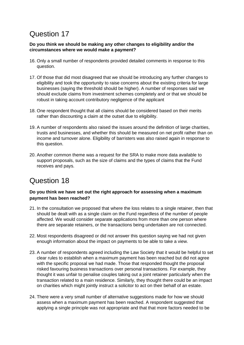#### <span id="page-6-0"></span>**Do you think we should be making any other changes to eligibility and/or the circumstances where we would make a payment?**

- 16. Only a small number of respondents provided detailed comments in response to this question.
- 17. Of those that did most disagreed that we should be introducing any further changes to eligibility and took the opportunity to raise concerns about the existing criteria for large businesses (saying the threshold should be higher). A number of responses said we should exclude claims from investment schemes completely and or that we should be robust in taking account contributory negligence of the applicant
- 18. One respondent thought that all claims should be considered based on their merits rather than discounting a claim at the outset due to eligibility.
- 19. A number of respondents also raised the issues around the definition of large charities, trusts and businesses, and whether this should be measured on net profit rather than on income and turnover alone. Eligibility of barristers was also raised again in response to this question.
- 20. Another common theme was a request for the SRA to make more data available to support proposals, such as the size of claims and the types of claims that the Fund receives and pays.

### <span id="page-6-1"></span>Question 18

#### **Do you think we have set out the right approach for assessing when a maximum payment has been reached?**

- 21. In the consultation we proposed that where the loss relates to a single retainer, then that should be dealt with as a single claim on the Fund regardless of the number of people affected. We would consider separate applications from more than one person where there are separate retainers, or the transactions being undertaken are not connected.
- 22. Most respondents disagreed or did not answer this question saying we had not given enough information about the impact on payments to be able to take a view.
- 23. A number of respondents agreed including the Law Society that it would be helpful to set clear rules to establish when a maximum payment has been reached but did not agree with the specific proposal we had made. Those that responded thought the proposal risked favouring business transactions over personal transactions. For example, they thought it was unfair to penalise couples taking out a joint retainer particularly when the transaction related to a main residence. Similarly, they thought there could be an impact on charities which might jointly instruct a solicitor to act on their behalf of an estate.
- 24. There were a very small number of alternative suggestions made for how we should assess when a maximum payment has been reached. A respondent suggested that applying a single principle was not appropriate and that that more factors needed to be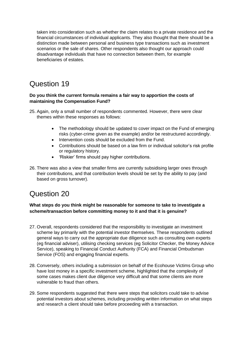taken into consideration such as whether the claim relates to a private residence and the financial circumstances of individual applicants. They also thought that there should be a distinction made between personal and business type transactions such as investment scenarios or the sale of shares. Other respondents also thought our approach could disadvantage individuals that have no connection between them, for example beneficiaries of estates.

### <span id="page-7-0"></span>Question 19

#### **Do you think the current formula remains a fair way to apportion the costs of maintaining the Compensation Fund?**

- 25. Again, only a small number of respondents commented. However, there were clear themes within these responses as follows:
	- The methodology should be updated to cover impact on the Fund of emerging risks (cyber-crime given as the example) and/or be restructured accordingly.
	- Intervention costs should be excluded from the Fund.
	- Contributions should be based on a law firm or individual solicitor's risk profile or regulatory history.
	- 'Riskier' firms should pay higher contributions.
- 26. There was also a view that smaller firms are currently subsidising larger ones through their contributions, and that contribution levels should be set by the ability to pay (and based on gross turnover).

### <span id="page-7-1"></span>Question 20

### **What steps do you think might be reasonable for someone to take to investigate a scheme/transaction before committing money to it and that it is genuine?**

- 27. Overall, respondents considered that the responsibility to investigate an investment scheme lay primarily with the potential investor themselves. These respondents outlined general ways to carry out the appropriate due diligence such as consulting own experts (eg financial adviser), utilising checking services (eg Solicitor Checker, the Money Advice Service), speaking to Financial Conduct Authority (FCA) and Financial Ombudsman Service (FOS) and engaging financial experts.
- 28. Conversely, others including a submission on behalf of the Ecohouse Victims Group who have lost money in a specific investment scheme, highlighted that the complexity of some cases makes client due diligence very difficult and that some clients are more vulnerable to fraud than others.
- 29. Some respondents suggested that there were steps that solicitors could take to advise potential investors about schemes, including providing written information on what steps and research a client should take before proceeding with a transaction.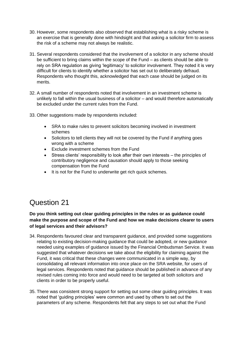- 30. However, some respondents also observed that establishing what is a risky scheme is an exercise that is generally done with hindsight and that asking a solicitor firm to assess the risk of a scheme may not always be realistic.
- 31. Several respondents considered that the involvement of a solicitor in any scheme should be sufficient to bring claims within the scope of the Fund – as clients should be able to rely on SRA regulation as giving 'legitimacy' to solicitor involvement. They noted it is very difficult for clients to identify whether a solicitor has set out to deliberately defraud. Respondents who thought this, acknowledged that each case should be judged on its merits.
- 32. A small number of respondents noted that involvement in an investment scheme is unlikely to fall within the usual business of a solicitor – and would therefore automatically be excluded under the current rules from the Fund.
- 33. Other suggestions made by respondents included:
	- SRA to make rules to prevent solicitors becoming involved in investment schemes
	- Solicitors to tell clients they will not be covered by the Fund if anything goes wrong with a scheme
	- Exclude investment schemes from the Fund
	- Stress clients' responsibility to look after their own interests the principles of contributory negligence and causation should apply to those seeking compensation from the Fund
	- It is not for the Fund to underwrite get rich quick schemes.

### <span id="page-8-0"></span>**Do you think setting out clear guiding principles in the rules or as guidance could make the purpose and scope of the Fund and how we make decisions clearer to users of legal services and their advisors?**

- 34. Respondents favoured clear and transparent guidance, and provided some suggestions relating to existing decision-making guidance that could be adopted, or new guidance needed using examples of guidance issued by the Financial Ombudsman Service. It was suggested that whatever decisions we take about the eligibility for claiming against the Fund, it was critical that these changes were communicated in a simple way, by consolidating all relevant information into once place on the SRA website, for users of legal services. Respondents noted that guidance should be published in advance of any revised rules coming into force and would need to be targeted at both solicitors and clients in order to be properly useful.
- 35. There was consistent strong support for setting out some clear guiding principles. It was noted that 'guiding principles' were common and used by others to set out the parameters of any scheme. Respondents felt that any steps to set out what the Fund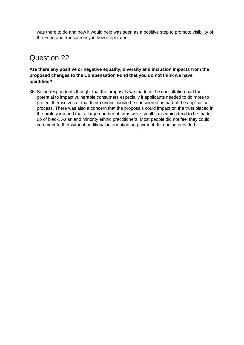was there to do and how it would help was seen as a positive step to promote visibility of the Fund and transparency in how it operated.

### <span id="page-9-0"></span>Question 22

#### **Are there any positive or negative equality, diversity and inclusion impacts from the proposed changes to the Compensation Fund that you do not think we have identified?**

36. Some respondents thought that the proposals we made in the consultation had the potential to impact vulnerable consumers especially if applicants needed to do more to protect themselves or that their conduct would be considered as part of the application process. There was also a concern that the proposals could impact on the trust placed in the profession and that a large number of firms were small firms which tend to be made up of black, Asian and minority ethnic practitioners. Most people did not feel they could comment further without additional information on payment data being provided.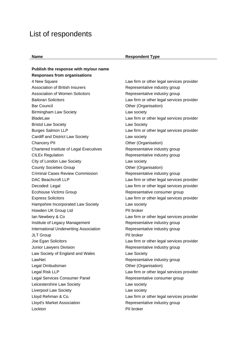### <span id="page-10-0"></span>List of respondents

#### **Name Respondent Type**

**Publish the response with my/our name Responses from organisations** 4 New Square Law firm or other legal services provider Association of British Insurers Representative industry group Association of Women Solicitors **Representative industry group** Bailoran Solicitors **Law firm or other legal services provider** Bar Council **District Council** Council **District Council** Other (Organisation) Birmingham Law Society **Law society Law society** BladeLaw Law firm or other legal services provider Bristol Law Society **Law Society** Law Society Burges Salmon LLP **Law firm or other legal services provider** Cardiff and District Law Society Law society Chancery PII Chancery PII Chancery PII Chancery PII Chancery PII Chancery PII Chancery PII Chartered Institute of Legal Executives Representative industry group CILEx Regulation **Representative industry group** City of London Law Society **Law society** Law society County Societies Group County Societies Group Criminal Cases Review Commission Representative industry group DAC Beachcroft LLP Law firm or other legal services provider Decoded: Legal **Law firm or other legal services provider** Law firm or other legal services provider Ecohouse Victims Group **Representative consumer group** Representative consumer group Express Solicitors Law firm or other legal services provider Hampshire Incorporated Law Society Law society Howden UK Group Ltd PII broker Ian Newbery & Co **Law firm or other legal services provider** Law firm or other legal services provider Institute of Legacy Management Representative industry group International Underwriting Association Representative industry group JLT Group **PII** broker Joe Egan Solicitors Law firm or other legal services provider Junior Lawyers Division **Representative industry group** Law Society of England and Wales **Law Society** LawNet **LawNet Representative industry group** Legal Ombudsman **Details** Computer Computer Computer Computer Computer Computer Computer Computer Computer Computer Computer Computer Computer Computer Computer Computer Computer Computer Computer Computer Computer Compute Legal Risk LLP **Law firm or other legal services provider** Legal Services Consumer Panel **Representative consumer group** Leicestershire Law Society **Law Society** Law society Liverpool Law Society **Law Society** Law society Lloyd Rehman & Co. **Law firm or other legal services provider** Lloyd's Market Association **Representative industry group** Lockton PII broker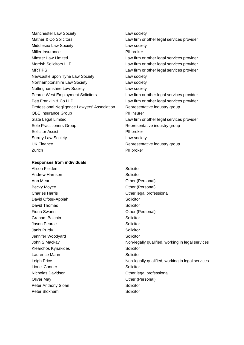Manchester Law Society **Law society** Law society Mather & Co Solicitors **Law firm or other legal services provider** Law firm or other legal services provider Middlesex Law Society **Law society** Law society Miller Insurance PII broker Minster Law Limited **Law Firm of other legal services provider** Morrish Solicitors LLP Law firm or other legal services provider MRTIPS **EXECUTE:** Law firm or other legal services provider Newcastle upon Tyne Law Society **Law Society** Northamptonshire Law Society **Law society** Nottinghamshire Law Society Law society Pearce West Employment Solicitors **Law firm or other legal services provider** Pett Franklin & Co LLP Law firm or other legal services provider Professional Negligence Lawyers' Association Representative industry group QBE Insurance Group **PII** insurer Slate Legal Limited **Law firm or other legal services provider** Sole Practitioners Group **Representative industry group** Solicitor Assist **PII** broker Surrey Law Society **Law society Law society** UK Finance **EXECUTE:** Representative industry group Zurich PII broker

#### **Responses from individuals**

Alison Fielden Solicitor Andrew Harrison Solicitor Ann Mear **Other (Personal)** Becky Moyce **Decky** Moyce **Other (Personal)** Charles Harris **Charles Harris** Charles Harris **Charles Harris** Charles **Harris** Charles **Charles Harris** Charles **Charles** Charles **Charles Charles** Charles **Charles** Charles **Charles** Charles **Charles** Charles **Charles** David Ofosu-Appiah Solicitor David Thomas Solicitor Fiona Swann **Communist Communist Communist Communist Communist Communist Communist Communist Communist Communist Communist Communist Communist Communist Communist Communist Communist Communist Communist Communist Communist** Graham Balchin Solicitor Jason Pearce **Solicitor** Solicitor Janis Purdy **Solicitor** Solicitor Jennifer Woodyard **Solicitor** Solicitor Klearchos Kyriakides **Solicitor** Solicitor Laurence Mann **Solicitor** Solicitor Lionel Conner November 2001 Solicitor Nicholas Davidson **Nicholas Davidson Other legal professional** Oliver May **Other (Personal)** Peter Anthony Sloan Solicitor Peter Bloxham Solicitor

John S Mackay **Non-legally qualified, working in legal services** Non-legally qualified, working in legal services Leigh Price Non-legally qualified, working in legal services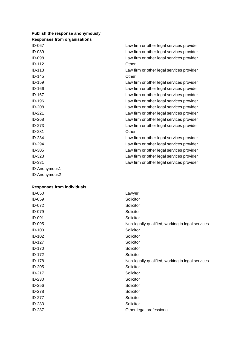#### **Publish the response anonymously Responses from organisations**

| ID-067        | Law firm or other legal services provider |
|---------------|-------------------------------------------|
| ID-089        | Law firm or other legal services provider |
| ID-098        | Law firm or other legal services provider |
| ID-112        | Other                                     |
| ID-118        | Law firm or other legal services provider |
| ID-145        | Other                                     |
| ID-159        | Law firm or other legal services provider |
| ID-166        | Law firm or other legal services provider |
| ID-167        | Law firm or other legal services provider |
| ID-196        | Law firm or other legal services provider |
| <b>ID-208</b> | Law firm or other legal services provider |
| $ID-221$      | Law firm or other legal services provider |
| ID-268        | Law firm or other legal services provider |
| ID-273        | Law firm or other legal services provider |
| ID-281        | Other                                     |
| ID-284        | Law firm or other legal services provider |
| ID-294        | Law firm or other legal services provider |
| ID-305        | Law firm or other legal services provider |
| ID-323        | Law firm or other legal services provider |
| <b>ID-331</b> | Law firm or other legal services provider |
| ID-Anonymous1 |                                           |
| ID-Anonymous2 |                                           |

#### **Responses from individuals**

| ID-050        | Lawyer                                           |
|---------------|--------------------------------------------------|
| ID-059        | Solicitor                                        |
| ID-072        | Solicitor                                        |
| ID-079        | Solicitor                                        |
| ID-091        | Solicitor                                        |
| ID-095        | Non-legally qualified, working in legal services |
| ID-100        | Solicitor                                        |
| ID-102        | Solicitor                                        |
| ID-127        | Solicitor                                        |
| ID-170        | Solicitor                                        |
| <b>ID-172</b> | Solicitor                                        |
| ID-178        | Non-legally qualified, working in legal services |
| ID-205        | Solicitor                                        |
| ID-217        | Solicitor                                        |
| ID-230        | Solicitor                                        |
| ID-256        | Solicitor                                        |
| <b>ID-278</b> | Solicitor                                        |
| ID-277        | Solicitor                                        |
| ID-283        | Solicitor                                        |
| <b>ID-287</b> | Other legal professional                         |
|               |                                                  |